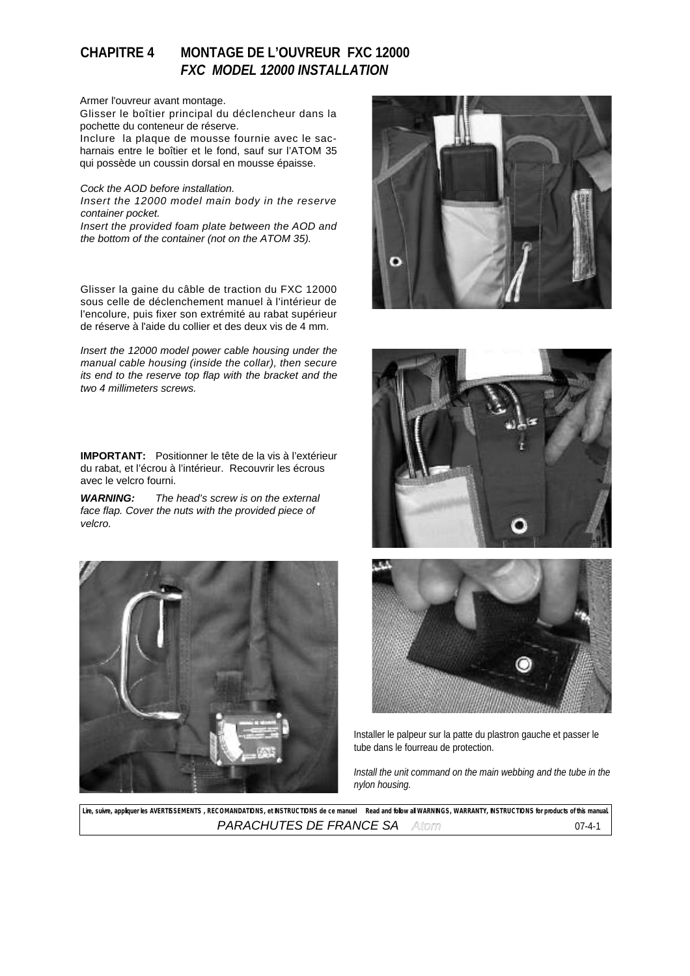# **CHAPITRE 4 MONTAGE DE L'OUVREUR FXC 12000** *FXC MODEL 12000 INSTALLATION*

### Armer l'ouvreur avant montage.

Glisser le boîtier principal du déclencheur dans la pochette du conteneur de réserve.

Inclure la plaque de mousse fournie avec le sacharnais entre le boîtier et le fond, sauf sur l'ATOM 35 qui possède un coussin dorsal en mousse épaisse.

#### *Cock the AOD before installation.*

*Insert the 12000 model main body in the reserve container pocket. Insert the provided foam plate between the AOD and the bottom of the container (not on the ATOM 35).*

Glisser la gaine du câble de traction du FXC 12000 sous celle de déclenchement manuel à l'intérieur de l'encolure, puis fixer son extrémité au rabat supérieur de réserve à l'aide du collier et des deux vis de 4 mm.

*Insert the 12000 model power cable housing under the manual cable housing (inside the collar), then secure its end to the reserve top flap with the bracket and the two 4 millimeters screws.* 

**IMPORTANT:** Positionner le tête de la vis à l'extérieur du rabat, et l'écrou à l'intérieur. Recouvrir les écrous avec le velcro fourni.

*WARNING: The head's screw is on the external face flap. Cover the nuts with the provided piece of velcro.* 









Installer le palpeur sur la patte du plastron gauche et passer le tube dans le fourreau de protection.

*Install the unit command on the main webbing and the tube in the nylon housing.*

Lire, suivre, appliquer les AVERTISSEMENTS , RECOMANDATIONS, et INSTRUCTIONS de ce manuel **Read and follow all WARNINGS, WARRANTY, INSTRUCTIONS for products of this manual.** *PARACHUTES DE FRANCE SA Atom* 07-4-1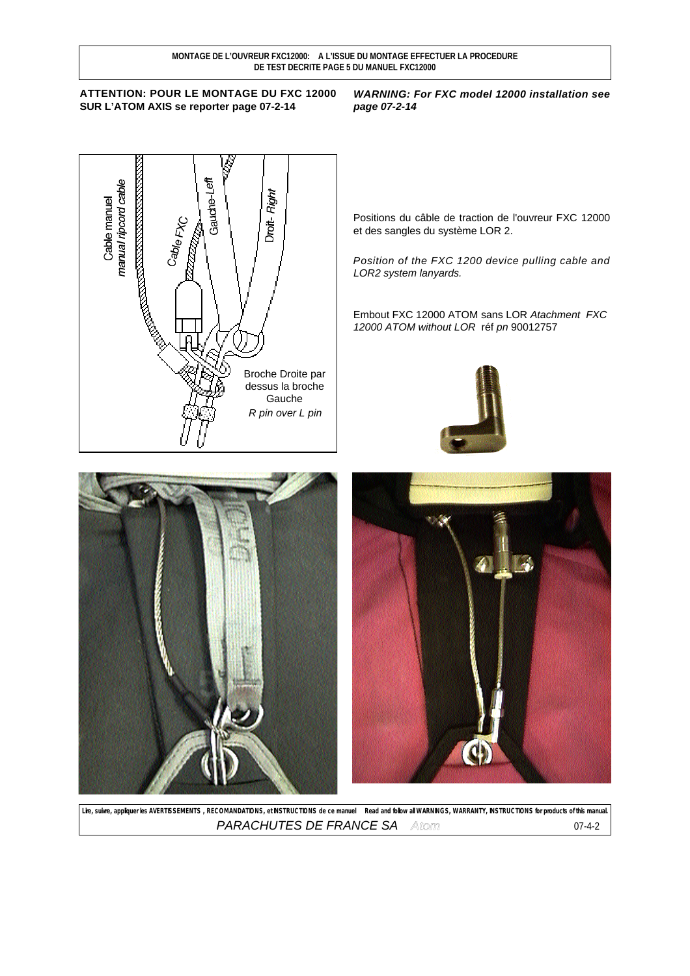## **ATTENTION: POUR LE MONTAGE DU FXC 12000 SUR L'ATOM AXIS se reporter page 07-2-14**

### *WARNING: For FXC model 12000 installation see page 07-2-14*



Positions du câble de traction de l'ouvreur FXC 12000 et des sangles du système LOR 2.

*Position of the FXC 1200 device pulling cable and LOR2 system lanyards.*

Embout FXC 12000 ATOM sans LOR *Atachment FXC 12000 ATOM without LOR* réf *pn* 90012757







Lire, suivre, appliquer les AVERTISSEMENTS, RECOMANDATIONS, et INSTRUCTIONS de ce manuel **Read and follow all WARNINGS, WARRANTY, INSTRUCTIONS for products of this manual. PARACHUTES DE FRANCE SA** Atom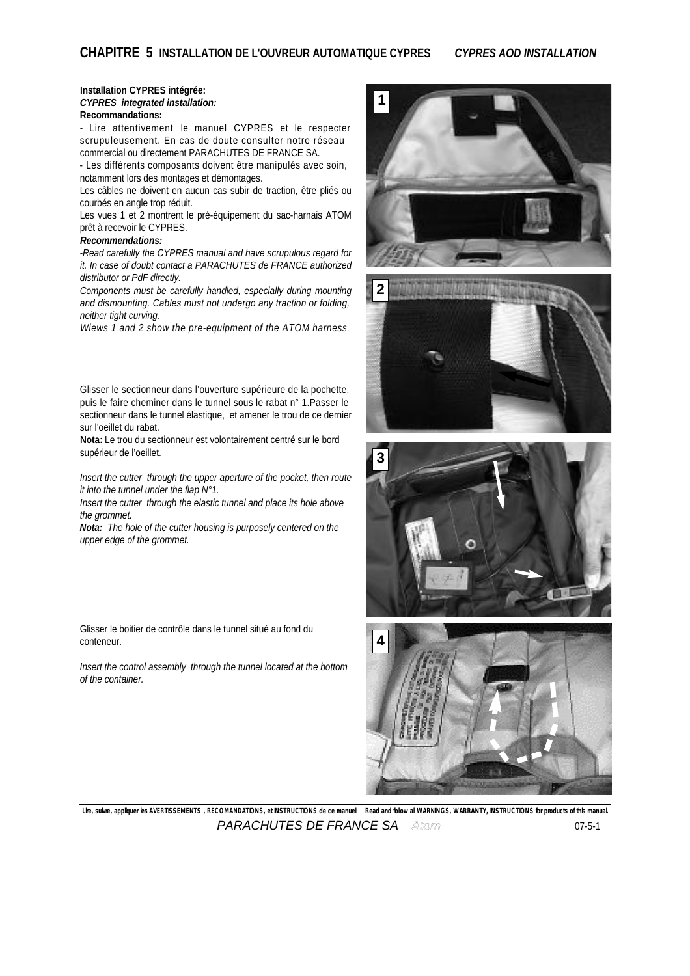## **Installation CYPRES intégrée:** *CYPRES integrated installation:*

## **Recommandations:**

- Lire attentivement le manuel CYPRES et le respecter scrupuleusement. En cas de doute consulter notre réseau commercial ou directement PARACHUTES DE FRANCE SA.

- Les différents composants doivent être manipulés avec soin, notamment lors des montages et démontages.

Les câbles ne doivent en aucun cas subir de traction, être pliés ou courbés en angle trop réduit.

Les vues 1 et 2 montrent le pré-équipement du sac-harnais ATOM prêt à recevoir le CYPRES.

#### *Recommendations:*

*-Read carefully the CYPRES manual and have scrupulous regard for it. In case of doubt contact a PARACHUTES de FRANCE authorized distributor or PdF directly.*

*Components must be carefully handled, especially during mounting and dismounting. Cables must not undergo any traction or folding, neither tight curving.*

*Wiews 1 and 2 show the pre-equipment of the ATOM harness*

Glisser le sectionneur dans l'ouverture supérieure de la pochette, puis le faire cheminer dans le tunnel sous le rabat n° 1.Passer le sectionneur dans le tunnel élastique, et amener le trou de ce dernier sur l'oeillet du rabat.

**Nota:** Le trou du sectionneur est volontairement centré sur le bord supérieur de l'oeillet.

*Insert the cutter through the upper aperture of the pocket, then route it into the tunnel under the flap N°1.*

*Insert the cutter through the elastic tunnel and place its hole above the grommet.*

*Nota: The hole of the cutter housing is purposely centered on the upper edge of the grommet.*

Glisser le boitier de contrôle dans le tunnel situé au fond du conteneur.

*Insert the control assembly through the tunnel located at the bottom of the container.*









**Lire, suivre, appliquer les AVERTISSEMENTS , RECOMANDATIONS, et INSTRUCTIONS de ce manuel** *Read and follow all WARNINGS, WARRANTY, INSTRUCTIONS for products of this manual.* **PARACHUTES DE FRANCE SA** Atom